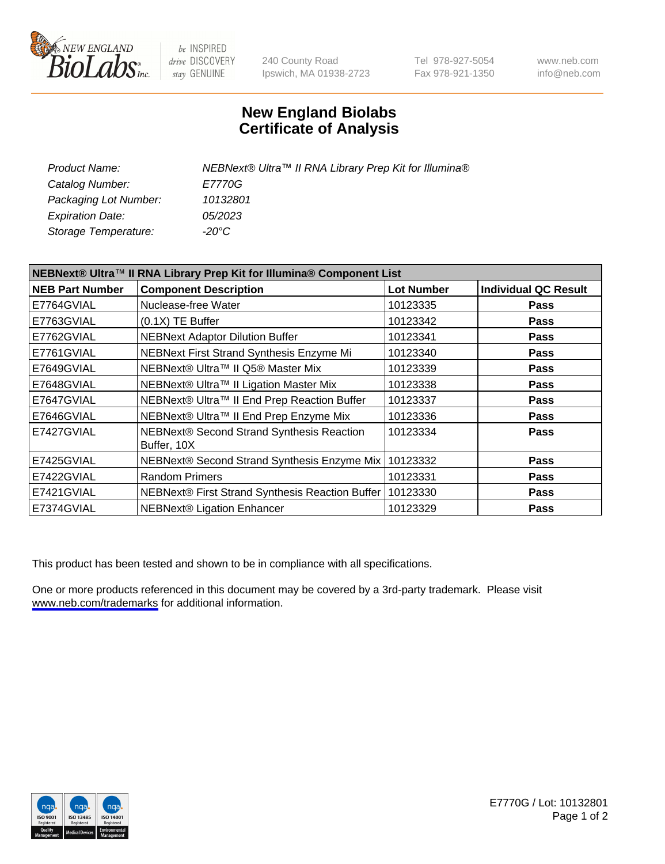

be INSPIRED drive DISCOVERY stay GENUINE

240 County Road Ipswich, MA 01938-2723 Tel 978-927-5054 Fax 978-921-1350

www.neb.com info@neb.com

## **New England Biolabs Certificate of Analysis**

| Product Name:           | NEBNext® Ultra™ II RNA Library Prep Kit for Illumina® |
|-------------------------|-------------------------------------------------------|
| Catalog Number:         | <i>E7770G</i>                                         |
| Packaging Lot Number:   | 10132801                                              |
| <b>Expiration Date:</b> | 05/2023                                               |
| Storage Temperature:    | -20°C                                                 |

| NEBNext® Ultra™ II RNA Library Prep Kit for Illumina® Component List |                                                          |                   |                             |
|----------------------------------------------------------------------|----------------------------------------------------------|-------------------|-----------------------------|
| <b>NEB Part Number</b>                                               | <b>Component Description</b>                             | <b>Lot Number</b> | <b>Individual QC Result</b> |
| E7764GVIAL                                                           | Nuclease-free Water                                      | 10123335          | <b>Pass</b>                 |
| E7763GVIAL                                                           | $(0.1X)$ TE Buffer                                       | 10123342          | <b>Pass</b>                 |
| E7762GVIAL                                                           | <b>NEBNext Adaptor Dilution Buffer</b>                   | 10123341          | <b>Pass</b>                 |
| E7761GVIAL                                                           | NEBNext First Strand Synthesis Enzyme Mi                 | 10123340          | <b>Pass</b>                 |
| E7649GVIAL                                                           | NEBNext® Ultra™ II Q5® Master Mix                        | 10123339          | <b>Pass</b>                 |
| E7648GVIAL                                                           | NEBNext® Ultra™ II Ligation Master Mix                   | 10123338          | <b>Pass</b>                 |
| E7647GVIAL                                                           | NEBNext® Ultra™ II End Prep Reaction Buffer              | 10123337          | <b>Pass</b>                 |
| E7646GVIAL                                                           | NEBNext® Ultra™ II End Prep Enzyme Mix                   | 10123336          | <b>Pass</b>                 |
| E7427GVIAL                                                           | NEBNext® Second Strand Synthesis Reaction<br>Buffer, 10X | 10123334          | <b>Pass</b>                 |
| E7425GVIAL                                                           | NEBNext® Second Strand Synthesis Enzyme Mix              | 10123332          | <b>Pass</b>                 |
| E7422GVIAL                                                           | <b>Random Primers</b>                                    | 10123331          | <b>Pass</b>                 |
| E7421GVIAL                                                           | NEBNext® First Strand Synthesis Reaction Buffer          | 10123330          | <b>Pass</b>                 |
| E7374GVIAL                                                           | <b>NEBNext® Ligation Enhancer</b>                        | 10123329          | <b>Pass</b>                 |

This product has been tested and shown to be in compliance with all specifications.

One or more products referenced in this document may be covered by a 3rd-party trademark. Please visit <www.neb.com/trademarks>for additional information.



E7770G / Lot: 10132801 Page 1 of 2